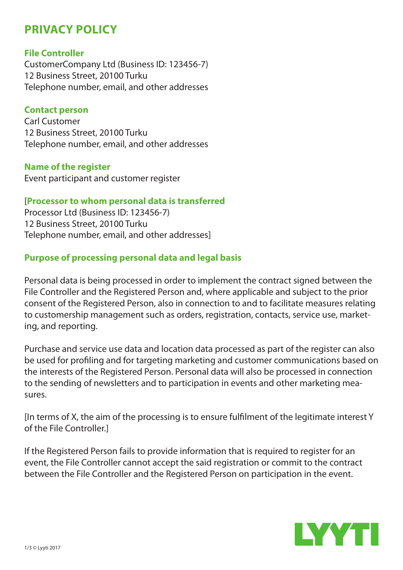# **PRIVACY POLICY**

#### **File Controller**

CustomerCompany Ltd (Business ID: 123456-7) 12 Business Street, 20100 Turku Telephone number, email, and other addresses

#### **Contact person**

Carl Customer 12 Business Street, 20100 Turku Telephone number, email, and other addresses

#### **Name of the register**

Event participant and customer register

#### [**Processor to whom personal data is transferred**

Processor Ltd (Business ID: 123456-7) 12 Business Street, 20100 Turku Telephone number, email, and other addresses]

### **Purpose of processing personal data and legal basis**

Personal data is being processed in order to implement the contract signed between the File Controller and the Registered Person and, where applicable and subject to the prior consent of the Registered Person, also in connection to and to facilitate measures relating to customership management such as orders, registration, contacts, service use, marketing, and reporting.

Purchase and service use data and location data processed as part of the register can also be used for profiling and for targeting marketing and customer communications based on the interests of the Registered Person. Personal data will also be processed in connection to the sending of newsletters and to participation in events and other marketing measures.

[In terms of X, the aim of the processing is to ensure fulfilment of the legitimate interest Y of the File Controller.]

If the Registered Person fails to provide information that is required to register for an event, the File Controller cannot accept the said registration or commit to the contract between the File Controller and the Registered Person on participation in the event.

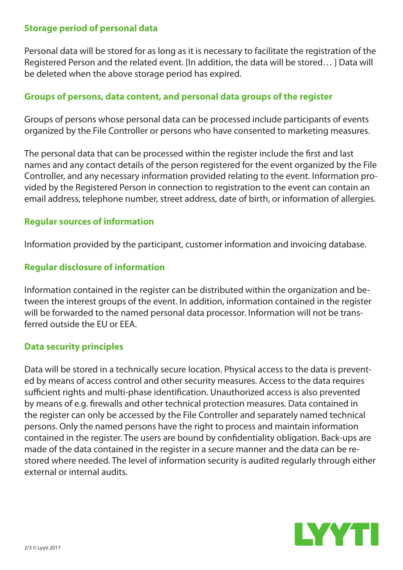### **Storage period of personal data**

Personal data will be stored for as long as it is necessary to facilitate the registration of the Registered Person and the related event. [In addition, the data will be stored… ] Data will be deleted when the above storage period has expired.

## **Groups of persons, data content, and personal data groups of the register**

Groups of persons whose personal data can be processed include participants of events organized by the File Controller or persons who have consented to marketing measures.

The personal data that can be processed within the register include the first and last names and any contact details of the person registered for the event organized by the File Controller, and any necessary information provided relating to the event. Information provided by the Registered Person in connection to registration to the event can contain an email address, telephone number, street address, date of birth, or information of allergies.

### **Regular sources of information**

Information provided by the participant, customer information and invoicing database.

# **Regular disclosure of information**

Information contained in the register can be distributed within the organization and between the interest groups of the event. In addition, information contained in the register will be forwarded to the named personal data processor. Information will not be transferred outside the EU or EEA.

### **Data security principles**

Data will be stored in a technically secure location. Physical access to the data is prevented by means of access control and other security measures. Access to the data requires sufficient rights and multi-phase identification. Unauthorized access is also prevented by means of e.g. firewalls and other technical protection measures. Data contained in the register can only be accessed by the File Controller and separately named technical persons. Only the named persons have the right to process and maintain information contained in the register. The users are bound by confidentiality obligation. Back-ups are made of the data contained in the register in a secure manner and the data can be restored where needed. The level of information security is audited regularly through either external or internal audits.